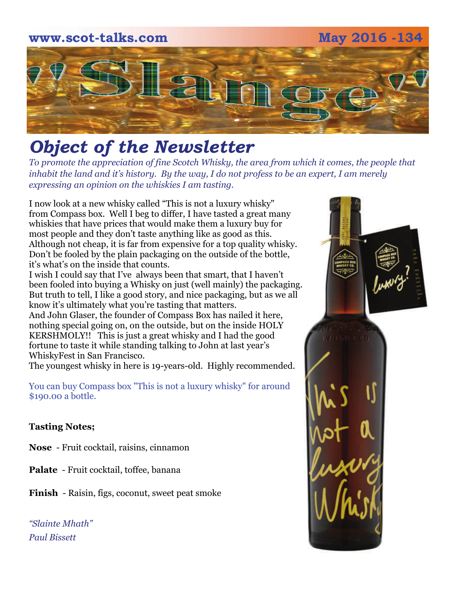# **www.scot-talks.com May 2016 -134** 21

# *Object of the Newsletter*

*To promote the appreciation of fine Scotch Whisky, the area from which it comes, the people that inhabit the land and it's history. By the way, I do not profess to be an expert, I am merely expressing an opinion on the whiskies I am tasting.* 

I now look at a new whisky called "This is not a luxury whisky" from Compass box. Well I beg to differ, I have tasted a great many whiskies that have prices that would make them a luxury buy for most people and they don't taste anything like as good as this. Although not cheap, it is far from expensive for a top quality whisky. Don't be fooled by the plain packaging on the outside of the bottle, it's what's on the inside that counts.

I wish I could say that I've always been that smart, that I haven't been fooled into buying a Whisky on just (well mainly) the packaging. But truth to tell, I like a good story, and nice packaging, but as we all know it's ultimately what you're tasting that matters. And John Glaser, the founder of Compass Box has nailed it here,

nothing special going on, on the outside, but on the inside HOLY KERSHMOLY!! This is just a great whisky and I had the good fortune to taste it while standing talking to John at last year's WhiskyFest in San Francisco.

The youngest whisky in here is 19-years-old. Highly recommended.

You can buy Compass box "This is not a luxury whisky" for around \$190.00 a bottle.

#### **Tasting Notes;**

**Nose** - Fruit cocktail, raisins, cinnamon

**Palate** - Fruit cocktail, toffee, banana

**Finish** - Raisin, figs, coconut, sweet peat smoke

*"Slainte Mhath" Paul Bissett*

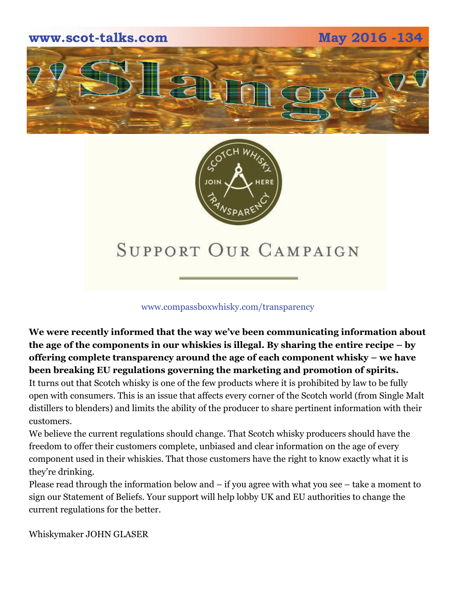



## SUPPORT OUR CAMPAIGN

#### www.compassboxwhisky.com/transparency

**We were recently informed that the way we've been communicating information about the age of the components in our whiskies is illegal. By sharing the entire recipe – by offering complete transparency around the age of each component whisky – we have been breaking EU regulations governing the marketing and promotion of spirits.** 

It turns out that Scotch whisky is one of the few products where it is prohibited by law to be fully open with consumers. This is an issue that affects every corner of the Scotch world (from Single Malt distillers to blenders) and limits the ability of the producer to share pertinent information with their customers.

We believe the current regulations should change. That Scotch whisky producers should have the freedom to offer their customers complete, unbiased and clear information on the age of every component used in their whiskies. That those customers have the right to know exactly what it is they're drinking.

Please read through the information below and – if you agree with what you see – take a moment to sign our Statement of Beliefs. Your support will help lobby UK and EU authorities to change the current regulations for the better.

Whiskymaker JOHN GLASER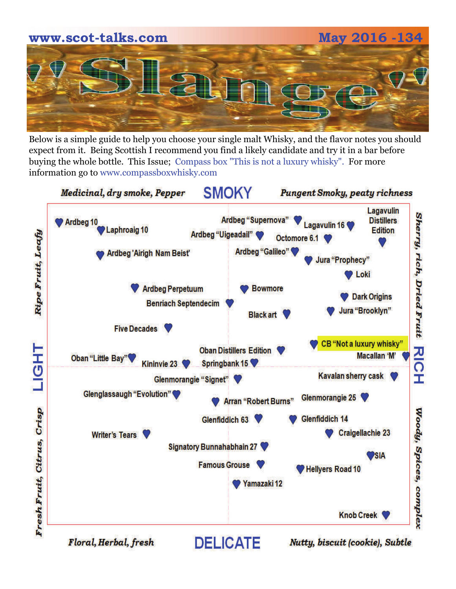

Below is a simple guide to help you choose your single malt Whisky, and the flavor notes you should expect from it. Being Scottish I recommend you find a likely candidate and try it in a bar before buying the whole bottle. This Issue; Compass box "This is not a luxury whisky". For more information go to www.compassboxwhisky.com

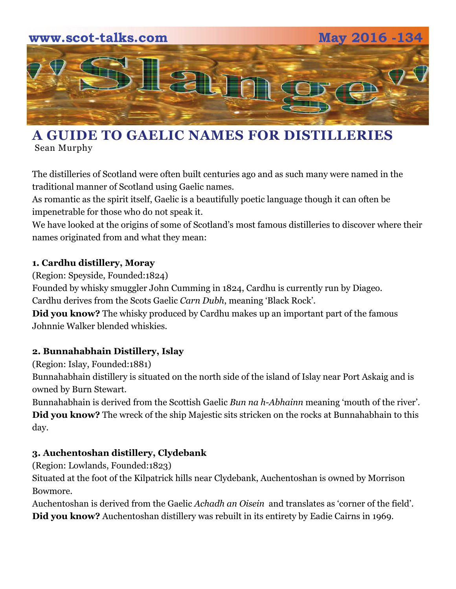

## **A GUIDE TO GAELIC NAMES FOR DISTILLERIES**  [Sean Murphy](http://foodanddrink.scotsman.com/author/sean-murphy/)

The distilleries of Scotland were often built centuries ago and as such many were named in the traditional manner of Scotland using Gaelic names.

As romantic as the spirit itself, Gaelic is a beautifully poetic language though it can often be impenetrable for those who do not speak it.

We have looked at the origins of some of Scotland's most famous distilleries to discover where their names originated from and what they mean:

#### **1. Cardhu distillery, Moray**

(Region: Speyside, Founded:1824)

Founded by whisky smuggler John Cumming in 1824, Cardhu is currently run by Diageo. Cardhu derives from the Scots Gaelic *Carn Dubh*, meaning 'Black Rock'.

**Did you know?** The whisky produced by Cardhu makes up an important part of the famous Johnnie Walker blended whiskies.

#### **2. [Bunnahabhain Distillery](http://bunnahabhain.com/), Islay**

(Region: Islay, Founded:1881)

Bunnahabhain distillery is situated on the north side of the island of Islay near Port Askaig and is owned by Burn Stewart.

Bunnahabhain is derived from the Scottish Gaelic *Bun na h-Abhainn* meaning 'mouth of the river'. **Did you know?** The wreck of the ship Majestic sits stricken on the rocks at Bunnahabhain to this day.

#### **3. [Auchentoshan distillery,](http://www.auchentoshan.com/age-check.aspx) Clydebank**

(Region: Lowlands, Founded:1823)

Situated at the foot of the Kilpatrick hills near Clydebank, Auchentoshan is owned by Morrison Bowmore.

Auchentoshan is derived from the Gaelic *Achadh an Oisein* and translates as 'corner of the field'. **Did you know?** Auchentoshan distillery was rebuilt in its entirety by Eadie Cairns in 1969.